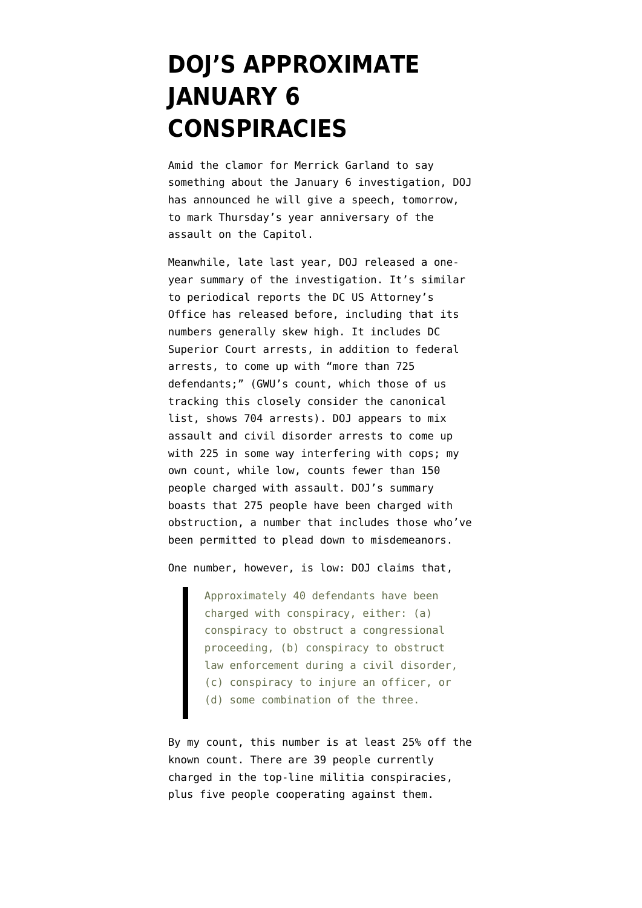## **[DOJ'S APPROXIMATE](https://www.emptywheel.net/2022/01/04/dojs-approximate-january-6-conspiracies/) [JANUARY 6](https://www.emptywheel.net/2022/01/04/dojs-approximate-january-6-conspiracies/) [CONSPIRACIES](https://www.emptywheel.net/2022/01/04/dojs-approximate-january-6-conspiracies/)**

Amid the [clamor](https://www.lawfareblog.com/merrick-garland-needs-speak) for Merrick Garland to say something about the January 6 investigation, DOJ has announced he will give a speech, tomorrow, to mark Thursday's year anniversary of the assault on the Capitol.

Meanwhile, late last year, DOJ released [a one](https://www.justice.gov/usao-dc/one-year-jan-6-attack-capitol)[year summary](https://www.justice.gov/usao-dc/one-year-jan-6-attack-capitol) of the investigation. It's similar to periodical reports the DC US Attorney's Office has released before, including that its numbers generally skew high. It includes DC Superior Court arrests, in addition to federal arrests, to come up with "more than 725 defendants;" [\(GWU's count,](https://extremism.gwu.edu/Capitol-Hill-Cases) which those of us tracking this closely consider the canonical list, shows 704 arrests). DOJ appears to mix assault and civil disorder arrests to come up with 225 in some way interfering with cops; my own count, while low, counts [fewer than 150](https://www.emptywheel.net/2021/06/25/the-hundred-plus-january-6-defendants-accused-of-assault/) [people](https://www.emptywheel.net/2021/06/25/the-hundred-plus-january-6-defendants-accused-of-assault/) charged with assault. DOJ's summary boasts that 275 people have been charged with obstruction, a number that includes those who've been permitted to plead down to misdemeanors.

One number, however, is low: DOJ claims that,

Approximately 40 defendants have been charged with conspiracy, either: (a) conspiracy to obstruct a congressional proceeding, (b) conspiracy to obstruct law enforcement during a civil disorder, (c) conspiracy to injure an officer, or (d) some combination of the three.

By my count, this number is at least 25% off the known count. There are 39 people currently charged in the top-line militia conspiracies, plus five people cooperating against them.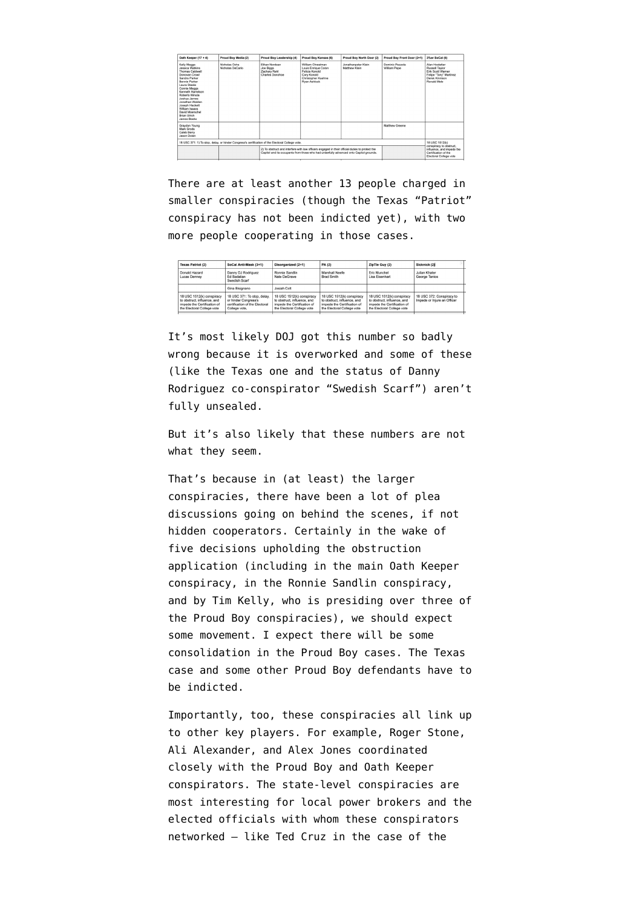| Oath Keeper (17 + 4)                                                                                                                                                                                                                                                                                                             | Proud Boy Media (2)               | Proud Boy Leadership (4)                                                                                                                                                                 | Proud Boy Kansas (6)                                                                                            | Proud Boy North Door (2)                                                                                  | Proud Boy Front Door (2+1)      | 3%er SoCal (6)                                                                                                          |  |
|----------------------------------------------------------------------------------------------------------------------------------------------------------------------------------------------------------------------------------------------------------------------------------------------------------------------------------|-----------------------------------|------------------------------------------------------------------------------------------------------------------------------------------------------------------------------------------|-----------------------------------------------------------------------------------------------------------------|-----------------------------------------------------------------------------------------------------------|---------------------------------|-------------------------------------------------------------------------------------------------------------------------|--|
| Kelly Meggs<br><b>Jessica Watkins</b><br>Thomas Caldwell<br>Donovan Crowl<br>Sandra Parker<br><b>Bennie Parker</b><br>Laura Steele<br>Connie Meggs<br>Kenneth Harrelson<br>Roberto Minuta<br>Joshua James<br>Jonathan Walden<br>Joseph Hackett<br>William Isaacs<br>David Moerschel<br><b>Brian Ulrich</b><br><b>James Beeks</b> | Nicholas Ochs<br>Nicholas DeCarlo | Fihan Nordean<br>Joe Biggs<br>Zachary Rehl<br>Charles Donohoe                                                                                                                            | William Chrestman<br>Louis Enrique Colon<br>Felicia Konold<br>Cory Konold<br>Christopher Kuehne<br>Ryan Ashlock | Jonathanpeter Klein<br>Matthew Klein                                                                      | Dominic Pezzola<br>William Pepe | Alan Hostetter<br>Russell Taylor<br><b>Frik Scott Warner</b><br>Felipe "Tony" Martinez<br>Derek Kinnison<br>Ronald Mele |  |
| Graydon Young<br>Mark Grods<br>Caleb Berry<br>Jason Dolan                                                                                                                                                                                                                                                                        |                                   |                                                                                                                                                                                          |                                                                                                                 |                                                                                                           | Matthew Greene                  |                                                                                                                         |  |
| 18 USC 371: 1) To stop, delay, or hinder Congress's certification of the Electoral College vote.                                                                                                                                                                                                                                 |                                   |                                                                                                                                                                                          |                                                                                                                 |                                                                                                           |                                 |                                                                                                                         |  |
|                                                                                                                                                                                                                                                                                                                                  |                                   | 2) To obstruct and interfere with law officers engaged in their official duties to protect the<br>Capitol and its occupants from those who had unlawfully advanced onto Capitol grounds. |                                                                                                                 | conspiracy to obstruct,<br>influence, and impede the<br>Certification of the<br>Plantered Ballance costs. |                                 |                                                                                                                         |  |

There are at least another 13 people charged in smaller conspiracies (though the Texas "Patriot" conspiracy has not been indicted yet), with two more people cooperating in those cases.

| <b>Texas Patriot (2)</b>                                                                                              | SoCal Anti-Mask (3+1)                                                                                  | Disorganized (2+1)                                                                                                    | <b>PA(2)</b>                                                                                                          | ZipTie Guy (2)                                                                                                        | Sicknick (2)                                             |
|-----------------------------------------------------------------------------------------------------------------------|--------------------------------------------------------------------------------------------------------|-----------------------------------------------------------------------------------------------------------------------|-----------------------------------------------------------------------------------------------------------------------|-----------------------------------------------------------------------------------------------------------------------|----------------------------------------------------------|
| Donald Hazard<br>Lucas Denney                                                                                         | Danny DJ Rodriguez<br><b>Fd Badalian</b><br>Swedish Scarf                                              | Ronnie Sandlin<br>Nate DeGrave                                                                                        | Marshall Neefe<br><b>Brad Smith</b>                                                                                   | Eric Munchel<br>Lisa Fisenhart                                                                                        | Julian Khater<br>George Tanios                           |
|                                                                                                                       | Gina Bisignano                                                                                         | Josiah Colt                                                                                                           |                                                                                                                       |                                                                                                                       |                                                          |
| 18 USC 1512(k) conspiracy<br>to obstruct, influence, and<br>impede the Certification of<br>the Electoral College vote | 18 USC 371: To stop, delay,<br>or hinder Congress's<br>certification of the Electoral<br>College vote. | 18 USC 1512(k) conspiracy<br>to obstruct, influence, and<br>impede the Certification of<br>the Electoral College vote | 18 USC 1512(k) conspiracy<br>to obstruct, influence, and<br>impede the Certification of<br>the Electoral College vote | 18 USC 1512(k) conspiracy<br>to obstruct, influence, and<br>impede the Certification of<br>the Electoral College vote | 18 USC 372: Conspiracy to<br>Impede or Injure an Officer |

It's most likely DOJ got this number so badly wrong because it is overworked and some of these (like the Texas one and the status of Danny Rodriguez co-conspirator "Swedish Scarf") aren't fully unsealed.

But it's also likely that these numbers are not what they seem.

That's because in (at least) the larger conspiracies, there have been a lot of plea discussions going on behind the scenes, if not hidden cooperators. Certainly in the wake of five decisions upholding the obstruction application (including in the main Oath Keeper conspiracy, in the Ronnie Sandlin conspiracy, and by Tim Kelly, who is presiding over three of the Proud Boy conspiracies), we should expect some movement. I expect there will be some consolidation in the Proud Boy cases. The Texas case and some other Proud Boy defendants have to be indicted.

Importantly, too, these conspiracies all link up to other key players. For example, Roger Stone, Ali Alexander, and Alex Jones coordinated closely with the Proud Boy and Oath Keeper conspirators. The state-level conspiracies are most interesting for local power brokers and the elected officials with whom these conspirators networked — like [Ted Cruz](https://www.rawstory.com/lucas-denney/) in the case of the